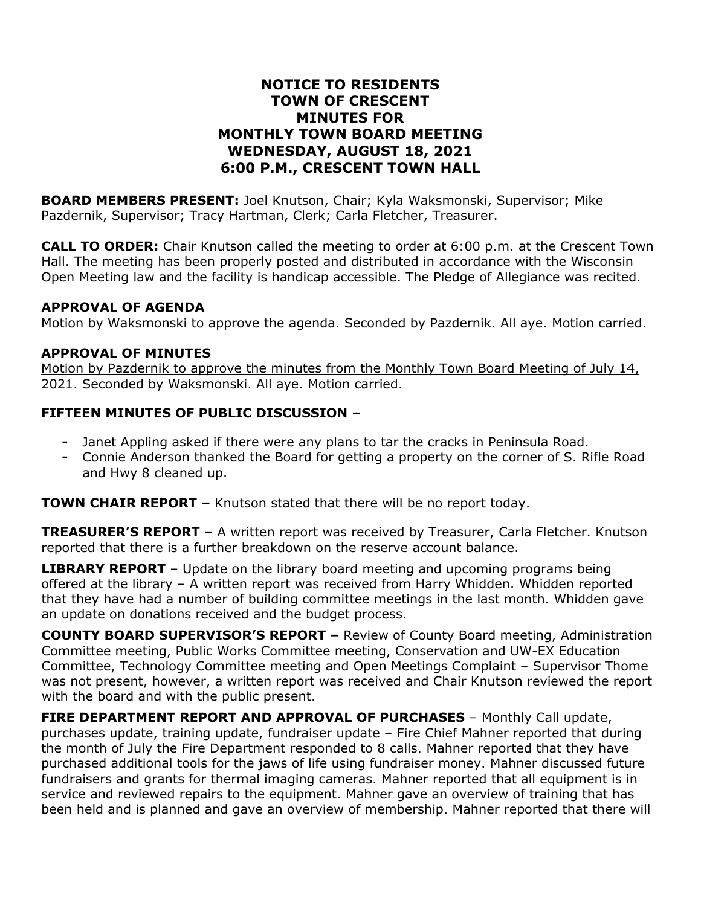#### **NOTICE TO RESIDENTS TOWN OF CRESCENT MINUTES FOR MONTHLY TOWN BOARD MEETING WEDNESDAY, AUGUST 18, 2021 6:00 P.M., CRESCENT TOWN HALL**

**BOARD MEMBERS PRESENT:** Joel Knutson, Chair; Kyla Waksmonski, Supervisor; Mike Pazdernik, Supervisor; Tracy Hartman, Clerk; Carla Fletcher, Treasurer.

**CALL TO ORDER:** Chair Knutson called the meeting to order at 6:00 p.m. at the Crescent Town Hall. The meeting has been properly posted and distributed in accordance with the Wisconsin Open Meeting law and the facility is handicap accessible. The Pledge of Allegiance was recited.

#### **APPROVAL OF AGENDA**

Motion by Waksmonski to approve the agenda. Seconded by Pazdernik. All aye. Motion carried.

#### **APPROVAL OF MINUTES**

Motion by Pazdernik to approve the minutes from the Monthly Town Board Meeting of July 14, 2021. Seconded by Waksmonski. All aye. Motion carried.

#### **FIFTEEN MINUTES OF PUBLIC DISCUSSION –**

- **-** Janet Appling asked if there were any plans to tar the cracks in Peninsula Road.
- **-** Connie Anderson thanked the Board for getting a property on the corner of S. Rifle Road and Hwy 8 cleaned up.

**TOWN CHAIR REPORT –** Knutson stated that there will be no report today.

**TREASURER'S REPORT –** A written report was received by Treasurer, Carla Fletcher. Knutson reported that there is a further breakdown on the reserve account balance.

**LIBRARY REPORT** – Update on the library board meeting and upcoming programs being offered at the library – A written report was received from Harry Whidden. Whidden reported that they have had a number of building committee meetings in the last month. Whidden gave an update on donations received and the budget process.

**COUNTY BOARD SUPERVISOR'S REPORT –** Review of County Board meeting, Administration Committee meeting, Public Works Committee meeting, Conservation and UW-EX Education Committee, Technology Committee meeting and Open Meetings Complaint – Supervisor Thome was not present, however, a written report was received and Chair Knutson reviewed the report with the board and with the public present.

**FIRE DEPARTMENT REPORT AND APPROVAL OF PURCHASES** – Monthly Call update, purchases update, training update, fundraiser update – Fire Chief Mahner reported that during the month of July the Fire Department responded to 8 calls. Mahner reported that they have purchased additional tools for the jaws of life using fundraiser money. Mahner discussed future fundraisers and grants for thermal imaging cameras. Mahner reported that all equipment is in service and reviewed repairs to the equipment. Mahner gave an overview of training that has been held and is planned and gave an overview of membership. Mahner reported that there will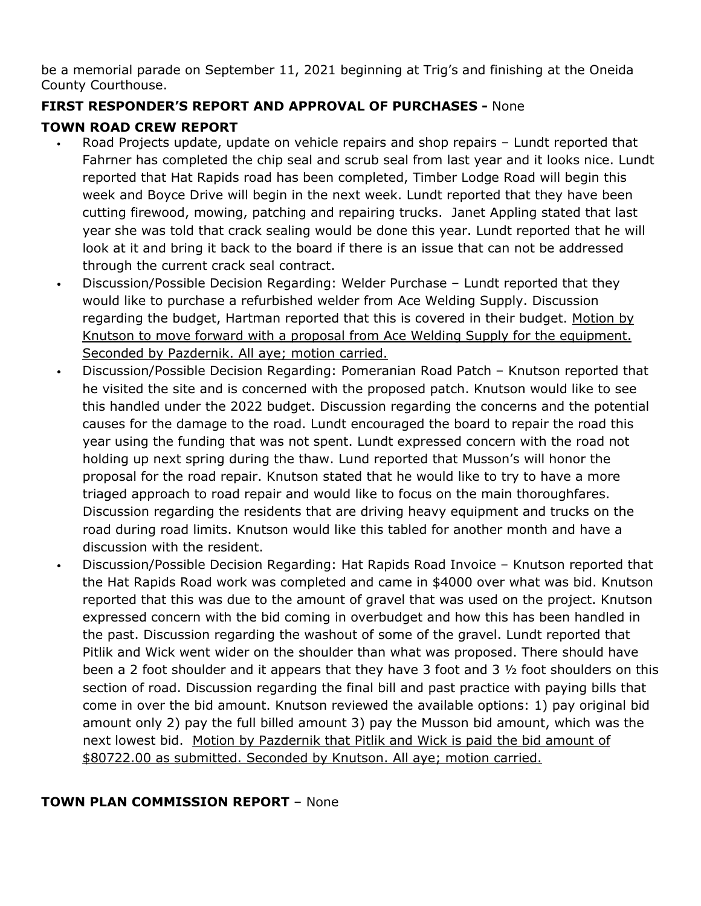be a memorial parade on September 11, 2021 beginning at Trig's and finishing at the Oneida County Courthouse.

# **FIRST RESPONDER'S REPORT AND APPROVAL OF PURCHASES -** None

### **TOWN ROAD CREW REPORT**

- Road Projects update, update on vehicle repairs and shop repairs Lundt reported that Fahrner has completed the chip seal and scrub seal from last year and it looks nice. Lundt reported that Hat Rapids road has been completed, Timber Lodge Road will begin this week and Boyce Drive will begin in the next week. Lundt reported that they have been cutting firewood, mowing, patching and repairing trucks. Janet Appling stated that last year she was told that crack sealing would be done this year. Lundt reported that he will look at it and bring it back to the board if there is an issue that can not be addressed through the current crack seal contract.
- Discussion/Possible Decision Regarding: Welder Purchase Lundt reported that they would like to purchase a refurbished welder from Ace Welding Supply. Discussion regarding the budget, Hartman reported that this is covered in their budget. Motion by Knutson to move forward with a proposal from Ace Welding Supply for the equipment. Seconded by Pazdernik. All aye; motion carried.
- Discussion/Possible Decision Regarding: Pomeranian Road Patch Knutson reported that he visited the site and is concerned with the proposed patch. Knutson would like to see this handled under the 2022 budget. Discussion regarding the concerns and the potential causes for the damage to the road. Lundt encouraged the board to repair the road this year using the funding that was not spent. Lundt expressed concern with the road not holding up next spring during the thaw. Lund reported that Musson's will honor the proposal for the road repair. Knutson stated that he would like to try to have a more triaged approach to road repair and would like to focus on the main thoroughfares. Discussion regarding the residents that are driving heavy equipment and trucks on the road during road limits. Knutson would like this tabled for another month and have a discussion with the resident.
- Discussion/Possible Decision Regarding: Hat Rapids Road Invoice Knutson reported that the Hat Rapids Road work was completed and came in \$4000 over what was bid. Knutson reported that this was due to the amount of gravel that was used on the project. Knutson expressed concern with the bid coming in overbudget and how this has been handled in the past. Discussion regarding the washout of some of the gravel. Lundt reported that Pitlik and Wick went wider on the shoulder than what was proposed. There should have been a 2 foot shoulder and it appears that they have 3 foot and 3 ½ foot shoulders on this section of road. Discussion regarding the final bill and past practice with paying bills that come in over the bid amount. Knutson reviewed the available options: 1) pay original bid amount only 2) pay the full billed amount 3) pay the Musson bid amount, which was the next lowest bid. Motion by Pazdernik that Pitlik and Wick is paid the bid amount of \$80722.00 as submitted. Seconded by Knutson. All aye; motion carried.

### **TOWN PLAN COMMISSION REPORT** – None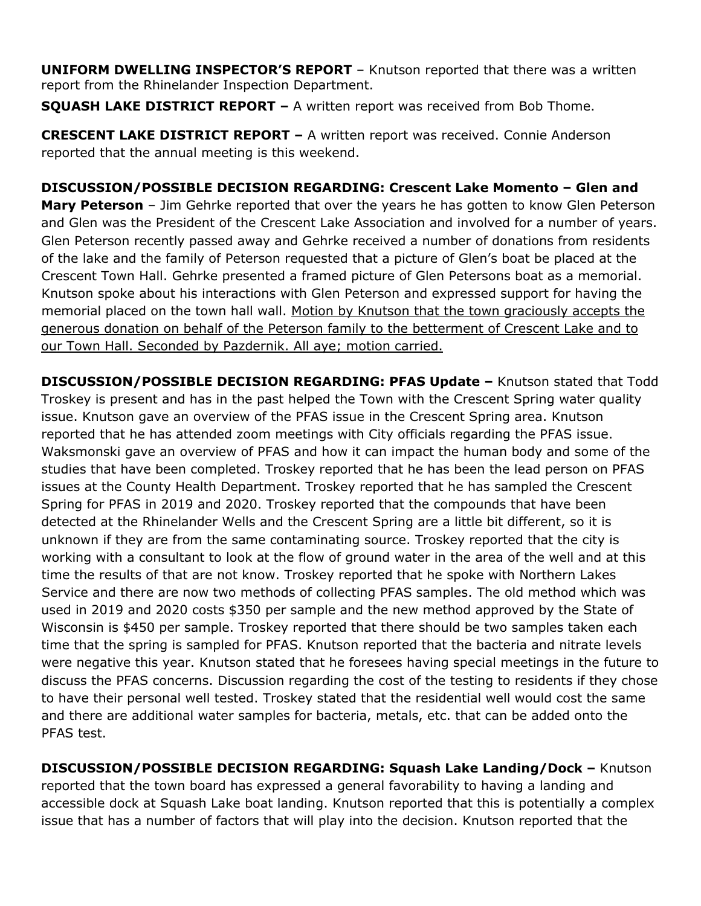**UNIFORM DWELLING INSPECTOR'S REPORT** – Knutson reported that there was a written report from the Rhinelander Inspection Department.

**SQUASH LAKE DISTRICT REPORT –** A written report was received from Bob Thome.

**CRESCENT LAKE DISTRICT REPORT –** A written report was received. Connie Anderson reported that the annual meeting is this weekend.

**DISCUSSION/POSSIBLE DECISION REGARDING: Crescent Lake Momento – Glen and Mary Peterson** – Jim Gehrke reported that over the years he has gotten to know Glen Peterson and Glen was the President of the Crescent Lake Association and involved for a number of years. Glen Peterson recently passed away and Gehrke received a number of donations from residents of the lake and the family of Peterson requested that a picture of Glen's boat be placed at the Crescent Town Hall. Gehrke presented a framed picture of Glen Petersons boat as a memorial. Knutson spoke about his interactions with Glen Peterson and expressed support for having the memorial placed on the town hall wall. Motion by Knutson that the town graciously accepts the generous donation on behalf of the Peterson family to the betterment of Crescent Lake and to our Town Hall. Seconded by Pazdernik. All aye; motion carried.

**DISCUSSION/POSSIBLE DECISION REGARDING: PFAS Update –** Knutson stated that Todd Troskey is present and has in the past helped the Town with the Crescent Spring water quality issue. Knutson gave an overview of the PFAS issue in the Crescent Spring area. Knutson reported that he has attended zoom meetings with City officials regarding the PFAS issue. Waksmonski gave an overview of PFAS and how it can impact the human body and some of the studies that have been completed. Troskey reported that he has been the lead person on PFAS issues at the County Health Department. Troskey reported that he has sampled the Crescent Spring for PFAS in 2019 and 2020. Troskey reported that the compounds that have been detected at the Rhinelander Wells and the Crescent Spring are a little bit different, so it is unknown if they are from the same contaminating source. Troskey reported that the city is working with a consultant to look at the flow of ground water in the area of the well and at this time the results of that are not know. Troskey reported that he spoke with Northern Lakes Service and there are now two methods of collecting PFAS samples. The old method which was used in 2019 and 2020 costs \$350 per sample and the new method approved by the State of Wisconsin is \$450 per sample. Troskey reported that there should be two samples taken each time that the spring is sampled for PFAS. Knutson reported that the bacteria and nitrate levels were negative this year. Knutson stated that he foresees having special meetings in the future to discuss the PFAS concerns. Discussion regarding the cost of the testing to residents if they chose to have their personal well tested. Troskey stated that the residential well would cost the same and there are additional water samples for bacteria, metals, etc. that can be added onto the PFAS test.

**DISCUSSION/POSSIBLE DECISION REGARDING: Squash Lake Landing/Dock –** Knutson reported that the town board has expressed a general favorability to having a landing and accessible dock at Squash Lake boat landing. Knutson reported that this is potentially a complex issue that has a number of factors that will play into the decision. Knutson reported that the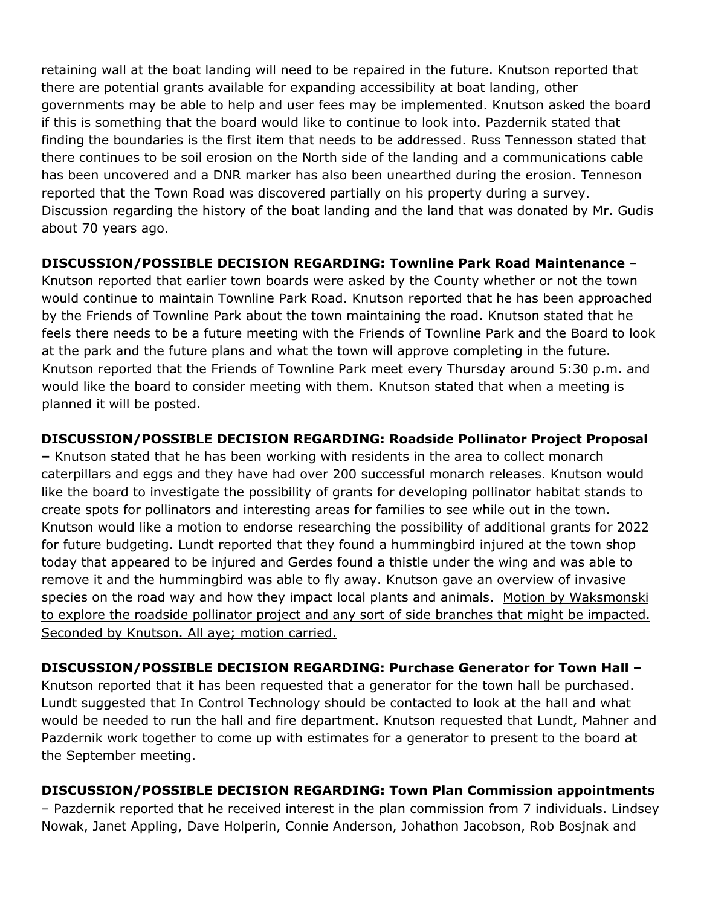retaining wall at the boat landing will need to be repaired in the future. Knutson reported that there are potential grants available for expanding accessibility at boat landing, other governments may be able to help and user fees may be implemented. Knutson asked the board if this is something that the board would like to continue to look into. Pazdernik stated that finding the boundaries is the first item that needs to be addressed. Russ Tennesson stated that there continues to be soil erosion on the North side of the landing and a communications cable has been uncovered and a DNR marker has also been unearthed during the erosion. Tenneson reported that the Town Road was discovered partially on his property during a survey. Discussion regarding the history of the boat landing and the land that was donated by Mr. Gudis about 70 years ago.

### **DISCUSSION/POSSIBLE DECISION REGARDING: Townline Park Road Maintenance** –

Knutson reported that earlier town boards were asked by the County whether or not the town would continue to maintain Townline Park Road. Knutson reported that he has been approached by the Friends of Townline Park about the town maintaining the road. Knutson stated that he feels there needs to be a future meeting with the Friends of Townline Park and the Board to look at the park and the future plans and what the town will approve completing in the future. Knutson reported that the Friends of Townline Park meet every Thursday around 5:30 p.m. and would like the board to consider meeting with them. Knutson stated that when a meeting is planned it will be posted.

# **DISCUSSION/POSSIBLE DECISION REGARDING: Roadside Pollinator Project Proposal**

**–** Knutson stated that he has been working with residents in the area to collect monarch caterpillars and eggs and they have had over 200 successful monarch releases. Knutson would like the board to investigate the possibility of grants for developing pollinator habitat stands to create spots for pollinators and interesting areas for families to see while out in the town. Knutson would like a motion to endorse researching the possibility of additional grants for 2022 for future budgeting. Lundt reported that they found a hummingbird injured at the town shop today that appeared to be injured and Gerdes found a thistle under the wing and was able to remove it and the hummingbird was able to fly away. Knutson gave an overview of invasive species on the road way and how they impact local plants and animals. Motion by Waksmonski to explore the roadside pollinator project and any sort of side branches that might be impacted. Seconded by Knutson. All aye; motion carried.

# **DISCUSSION/POSSIBLE DECISION REGARDING: Purchase Generator for Town Hall –**

Knutson reported that it has been requested that a generator for the town hall be purchased. Lundt suggested that In Control Technology should be contacted to look at the hall and what would be needed to run the hall and fire department. Knutson requested that Lundt, Mahner and Pazdernik work together to come up with estimates for a generator to present to the board at the September meeting.

# **DISCUSSION/POSSIBLE DECISION REGARDING: Town Plan Commission appointments**

– Pazdernik reported that he received interest in the plan commission from 7 individuals. Lindsey Nowak, Janet Appling, Dave Holperin, Connie Anderson, Johathon Jacobson, Rob Bosjnak and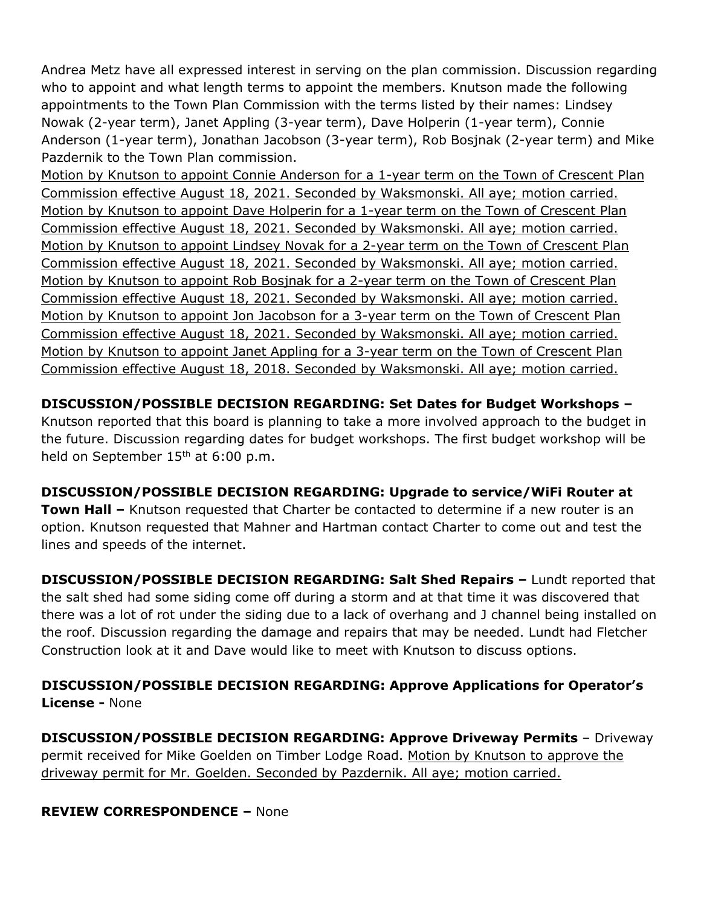Andrea Metz have all expressed interest in serving on the plan commission. Discussion regarding who to appoint and what length terms to appoint the members. Knutson made the following appointments to the Town Plan Commission with the terms listed by their names: Lindsey Nowak (2-year term), Janet Appling (3-year term), Dave Holperin (1-year term), Connie Anderson (1-year term), Jonathan Jacobson (3-year term), Rob Bosjnak (2-year term) and Mike Pazdernik to the Town Plan commission.

Motion by Knutson to appoint Connie Anderson for a 1-year term on the Town of Crescent Plan Commission effective August 18, 2021. Seconded by Waksmonski. All aye; motion carried. Motion by Knutson to appoint Dave Holperin for a 1-year term on the Town of Crescent Plan Commission effective August 18, 2021. Seconded by Waksmonski. All aye; motion carried. Motion by Knutson to appoint Lindsey Novak for a 2-year term on the Town of Crescent Plan Commission effective August 18, 2021. Seconded by Waksmonski. All aye; motion carried. Motion by Knutson to appoint Rob Bosjnak for a 2-year term on the Town of Crescent Plan Commission effective August 18, 2021. Seconded by Waksmonski. All aye; motion carried. Motion by Knutson to appoint Jon Jacobson for a 3-year term on the Town of Crescent Plan Commission effective August 18, 2021. Seconded by Waksmonski. All aye; motion carried. Motion by Knutson to appoint Janet Appling for a 3-year term on the Town of Crescent Plan Commission effective August 18, 2018. Seconded by Waksmonski. All aye; motion carried.

**DISCUSSION/POSSIBLE DECISION REGARDING: Set Dates for Budget Workshops –** Knutson reported that this board is planning to take a more involved approach to the budget in the future. Discussion regarding dates for budget workshops. The first budget workshop will be held on September 15<sup>th</sup> at 6:00 p.m.

**DISCUSSION/POSSIBLE DECISION REGARDING: Upgrade to service/WiFi Router at Town Hall –** Knutson requested that Charter be contacted to determine if a new router is an option. Knutson requested that Mahner and Hartman contact Charter to come out and test the lines and speeds of the internet.

**DISCUSSION/POSSIBLE DECISION REGARDING: Salt Shed Repairs –** Lundt reported that the salt shed had some siding come off during a storm and at that time it was discovered that there was a lot of rot under the siding due to a lack of overhang and J channel being installed on the roof. Discussion regarding the damage and repairs that may be needed. Lundt had Fletcher Construction look at it and Dave would like to meet with Knutson to discuss options.

**DISCUSSION/POSSIBLE DECISION REGARDING: Approve Applications for Operator's License -** None

**DISCUSSION/POSSIBLE DECISION REGARDING: Approve Driveway Permits** – Driveway permit received for Mike Goelden on Timber Lodge Road. Motion by Knutson to approve the driveway permit for Mr. Goelden. Seconded by Pazdernik. All aye; motion carried.

### **REVIEW CORRESPONDENCE –** None